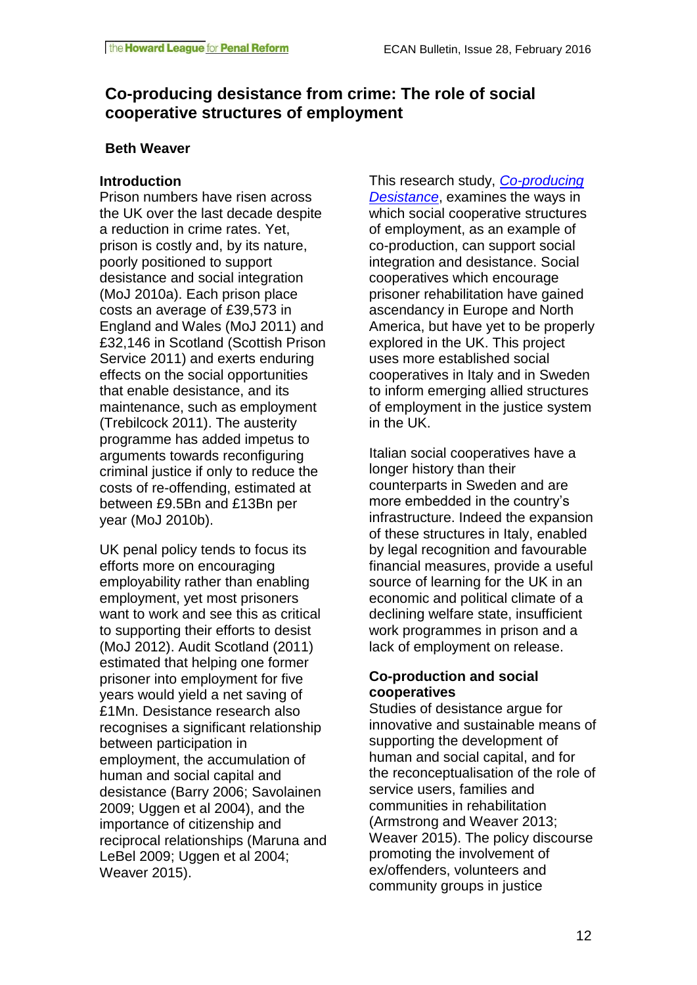# **Co-producing desistance from crime: The role of social cooperative structures of employment**

# **Beth Weaver**

# **Introduction**

Prison numbers have risen across the UK over the last decade despite a reduction in crime rates. Yet, prison is costly and, by its nature, poorly positioned to support desistance and social integration (MoJ 2010a). Each prison place costs an average of £39,573 in England and Wales (MoJ 2011) and £32,146 in Scotland (Scottish Prison Service 2011) and exerts enduring effects on the social opportunities that enable desistance, and its maintenance, such as employment (Trebilcock 2011). The austerity programme has added impetus to arguments towards reconfiguring criminal justice if only to reduce the costs of re-offending, estimated at between £9.5Bn and £13Bn per year (MoJ 2010b).

UK penal policy tends to focus its efforts more on encouraging employability rather than enabling employment, yet most prisoners want to work and see this as critical to supporting their efforts to desist (MoJ 2012). Audit Scotland (2011) estimated that helping one former prisoner into employment for five years would yield a net saving of £1Mn. Desistance research also recognises a significant relationship between participation in employment, the accumulation of human and social capital and desistance (Barry 2006; Savolainen 2009; Uggen et al 2004), and the importance of citizenship and reciprocal relationships (Maruna and LeBel 2009; Uggen et al 2004; Weaver 2015).

This research study, *[Co-producing](http://www.coproducingdesistance.org.uk/)  [Desistance](http://www.coproducingdesistance.org.uk/)*, examines the ways in which social cooperative structures of employment, as an example of co-production, can support social integration and desistance. Social cooperatives which encourage prisoner rehabilitation have gained ascendancy in Europe and North America, but have yet to be properly explored in the UK. This project uses more established social cooperatives in Italy and in Sweden to inform emerging allied structures of employment in the justice system in the UK.

Italian social cooperatives have a longer history than their counterparts in Sweden and are more embedded in the country's infrastructure. Indeed the expansion of these structures in Italy, enabled by legal recognition and favourable financial measures, provide a useful source of learning for the UK in an economic and political climate of a declining welfare state, insufficient work programmes in prison and a lack of employment on release.

# **Co-production and social cooperatives**

Studies of desistance argue for innovative and sustainable means of supporting the development of human and social capital, and for the reconceptualisation of the role of service users, families and communities in rehabilitation (Armstrong and Weaver 2013; Weaver 2015). The policy discourse promoting the involvement of ex/offenders, volunteers and community groups in justice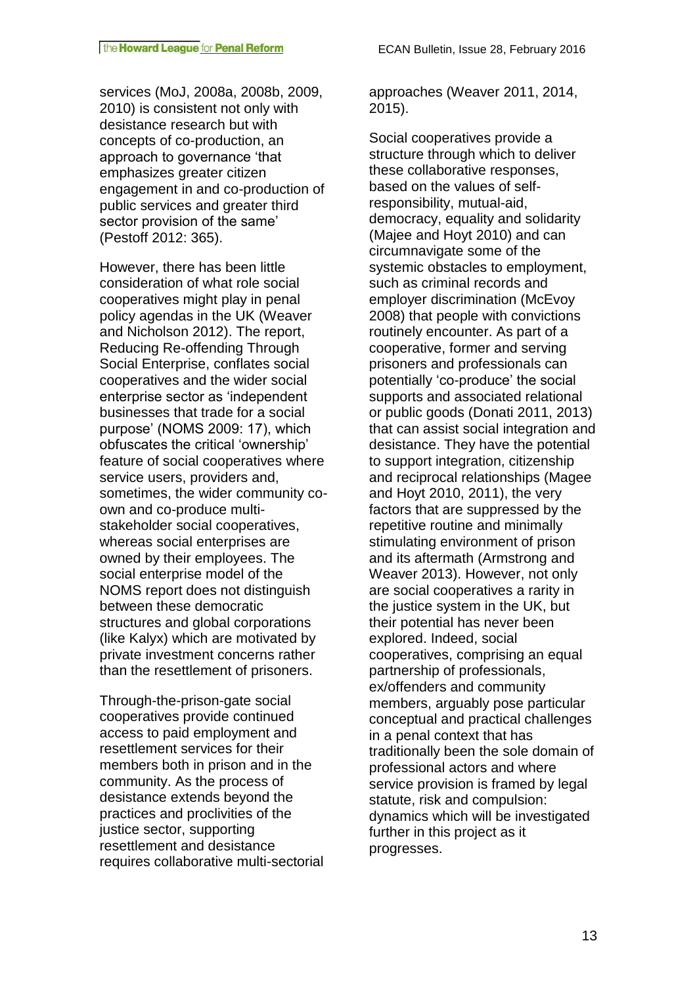services (MoJ, 2008a, 2008b, 2009, 2010) is consistent not only with desistance research but with concepts of co-production, an approach to governance 'that emphasizes greater citizen engagement in and co-production of public services and greater third sector provision of the same' (Pestoff 2012: 365).

However, there has been little consideration of what role social cooperatives might play in penal policy agendas in the UK (Weaver and Nicholson 2012). The report, Reducing Re-offending Through Social Enterprise, conflates social cooperatives and the wider social enterprise sector as 'independent businesses that trade for a social purpose' (NOMS 2009: 17), which obfuscates the critical 'ownership' feature of social cooperatives where service users, providers and, sometimes, the wider community coown and co-produce multistakeholder social cooperatives, whereas social enterprises are owned by their employees. The social enterprise model of the NOMS report does not distinguish between these democratic structures and global corporations (like Kalyx) which are motivated by private investment concerns rather than the resettlement of prisoners.

Through-the-prison-gate social cooperatives provide continued access to paid employment and resettlement services for their members both in prison and in the community. As the process of desistance extends beyond the practices and proclivities of the justice sector, supporting resettlement and desistance requires collaborative multi-sectorial approaches (Weaver 2011, 2014, 2015).

Social cooperatives provide a structure through which to deliver these collaborative responses, based on the values of selfresponsibility, mutual-aid, democracy, equality and solidarity (Majee and Hoyt 2010) and can circumnavigate some of the systemic obstacles to employment, such as criminal records and employer discrimination (McEvoy 2008) that people with convictions routinely encounter. As part of a cooperative, former and serving prisoners and professionals can potentially 'co-produce' the social supports and associated relational or public goods (Donati 2011, 2013) that can assist social integration and desistance. They have the potential to support integration, citizenship and reciprocal relationships (Magee and Hoyt 2010, 2011), the very factors that are suppressed by the repetitive routine and minimally stimulating environment of prison and its aftermath (Armstrong and Weaver 2013). However, not only are social cooperatives a rarity in the justice system in the UK, but their potential has never been explored. Indeed, social cooperatives, comprising an equal partnership of professionals, ex/offenders and community members, arguably pose particular conceptual and practical challenges in a penal context that has traditionally been the sole domain of professional actors and where service provision is framed by legal statute, risk and compulsion: dynamics which will be investigated further in this project as it progresses.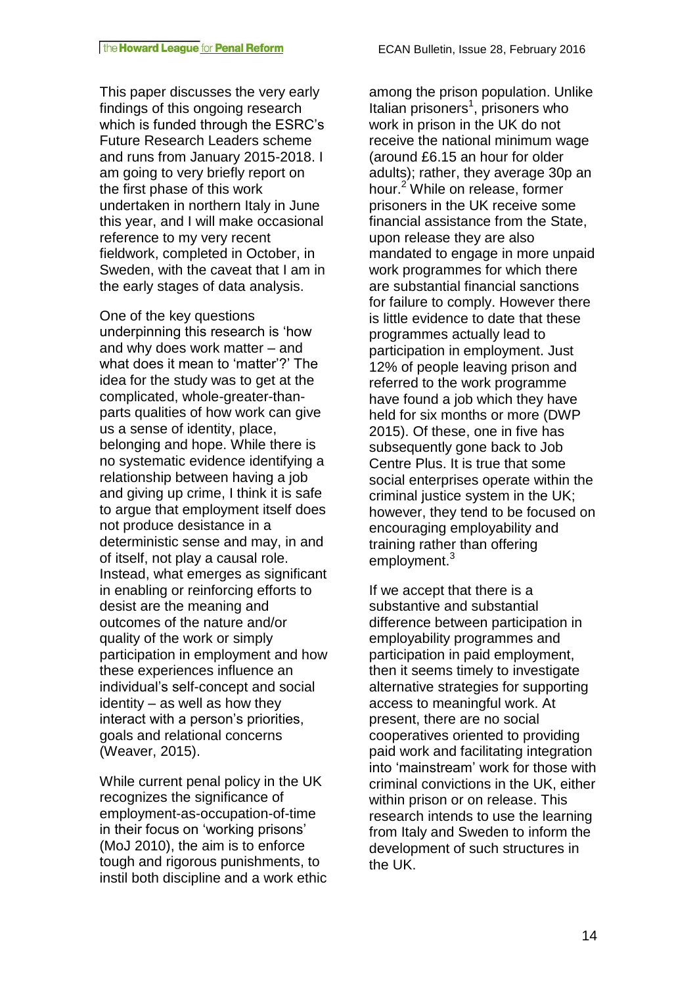This paper discusses the very early findings of this ongoing research which is funded through the ESRC's Future Research Leaders scheme and runs from January 2015-2018. I am going to very briefly report on the first phase of this work undertaken in northern Italy in June this year, and I will make occasional reference to my very recent fieldwork, completed in October, in Sweden, with the caveat that I am in the early stages of data analysis.

One of the key questions underpinning this research is 'how and why does work matter – and what does it mean to 'matter'?' The idea for the study was to get at the complicated, whole-greater-thanparts qualities of how work can give us a sense of identity, place, belonging and hope. While there is no systematic evidence identifying a relationship between having a job and giving up crime, I think it is safe to argue that employment itself does not produce desistance in a deterministic sense and may, in and of itself, not play a causal role. Instead, what emerges as significant in enabling or reinforcing efforts to desist are the meaning and outcomes of the nature and/or quality of the work or simply participation in employment and how these experiences influence an individual's self-concept and social identity – as well as how they interact with a person's priorities, goals and relational concerns (Weaver, 2015).

While current penal policy in the UK recognizes the significance of employment-as-occupation-of-time in their focus on 'working prisons' (MoJ 2010), the aim is to enforce tough and rigorous punishments, to instil both discipline and a work ethic among the prison population. Unlike Italian prisoners<sup>1</sup>, prisoners who work in prison in the UK do not receive the national minimum wage (around £6.15 an hour for older adults); rather, they average 30p an hour.<sup>2</sup> While on release, former prisoners in the UK receive some financial assistance from the State, upon release they are also mandated to engage in more unpaid work programmes for which there are substantial financial sanctions for failure to comply. However there is little evidence to date that these programmes actually lead to participation in employment. Just 12% of people leaving prison and referred to the work programme have found a job which they have held for six months or more (DWP 2015). Of these, one in five has subsequently gone back to Job Centre Plus. It is true that some social enterprises operate within the criminal justice system in the UK; however, they tend to be focused on encouraging employability and training rather than offering employment.<sup>3</sup>

If we accept that there is a substantive and substantial difference between participation in employability programmes and participation in paid employment, then it seems timely to investigate alternative strategies for supporting access to meaningful work. At present, there are no social cooperatives oriented to providing paid work and facilitating integration into 'mainstream' work for those with criminal convictions in the UK, either within prison or on release. This research intends to use the learning from Italy and Sweden to inform the development of such structures in the UK.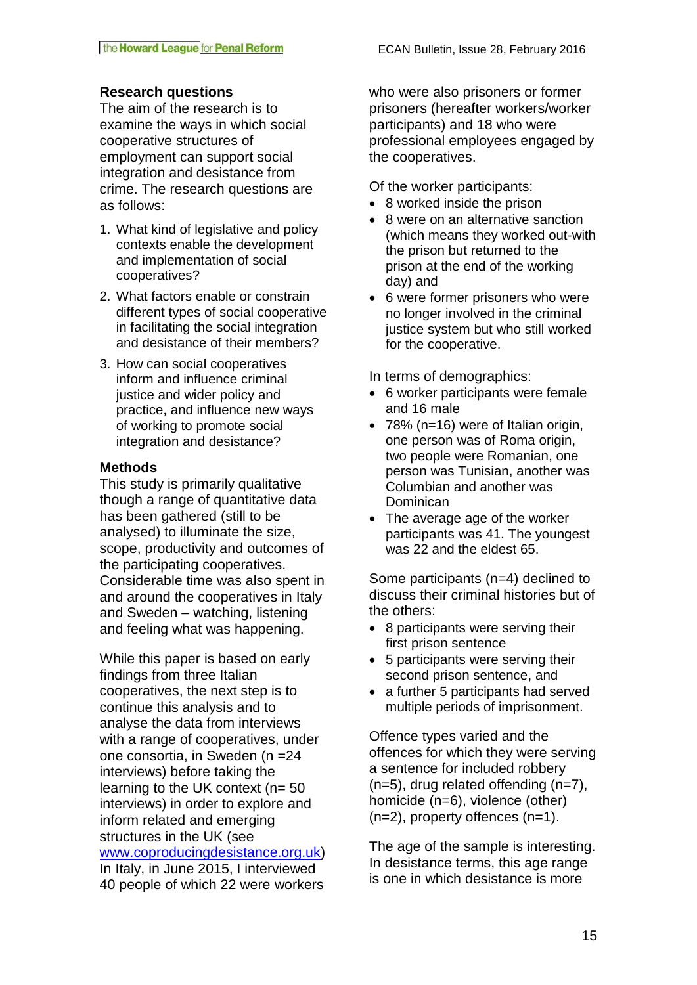# **Research questions**

The aim of the research is to examine the ways in which social cooperative structures of employment can support social integration and desistance from crime. The research questions are as follows:

- 1. What kind of legislative and policy contexts enable the development and implementation of social cooperatives?
- 2. What factors enable or constrain different types of social cooperative in facilitating the social integration and desistance of their members?
- 3. How can social cooperatives inform and influence criminal justice and wider policy and practice, and influence new ways of working to promote social integration and desistance?

#### **Methods**

This study is primarily qualitative though a range of quantitative data has been gathered (still to be analysed) to illuminate the size, scope, productivity and outcomes of the participating cooperatives. Considerable time was also spent in and around the cooperatives in Italy and Sweden – watching, listening and feeling what was happening.

While this paper is based on early findings from three Italian cooperatives, the next step is to continue this analysis and to analyse the data from interviews with a range of cooperatives, under one consortia, in Sweden (n =24 interviews) before taking the learning to the UK context (n= 50 interviews) in order to explore and inform related and emerging structures in the UK (see [www.coproducingdesistance.org.uk\)](../../../../../users/Anita/Academics/Early%20career%20academics%20network/January%202016/www.coproducingdesistance.org.uk)

In Italy, in June 2015, I interviewed 40 people of which 22 were workers who were also prisoners or former prisoners (hereafter workers/worker participants) and 18 who were professional employees engaged by the cooperatives.

Of the worker participants:

- 8 worked inside the prison
- 8 were on an alternative sanction (which means they worked out-with the prison but returned to the prison at the end of the working day) and
- 6 were former prisoners who were no longer involved in the criminal justice system but who still worked for the cooperative.

In terms of demographics:

- 6 worker participants were female and 16 male
- 78% (n=16) were of Italian origin, one person was of Roma origin, two people were Romanian, one person was Tunisian, another was Columbian and another was Dominican
- The average age of the worker participants was 41. The youngest was 22 and the eldest 65.

Some participants (n=4) declined to discuss their criminal histories but of the others:

- 8 participants were serving their first prison sentence
- 5 participants were serving their second prison sentence, and
- a further 5 participants had served multiple periods of imprisonment.

Offence types varied and the offences for which they were serving a sentence for included robbery (n=5), drug related offending (n=7), homicide (n=6), violence (other) (n=2), property offences (n=1).

The age of the sample is interesting. In desistance terms, this age range is one in which desistance is more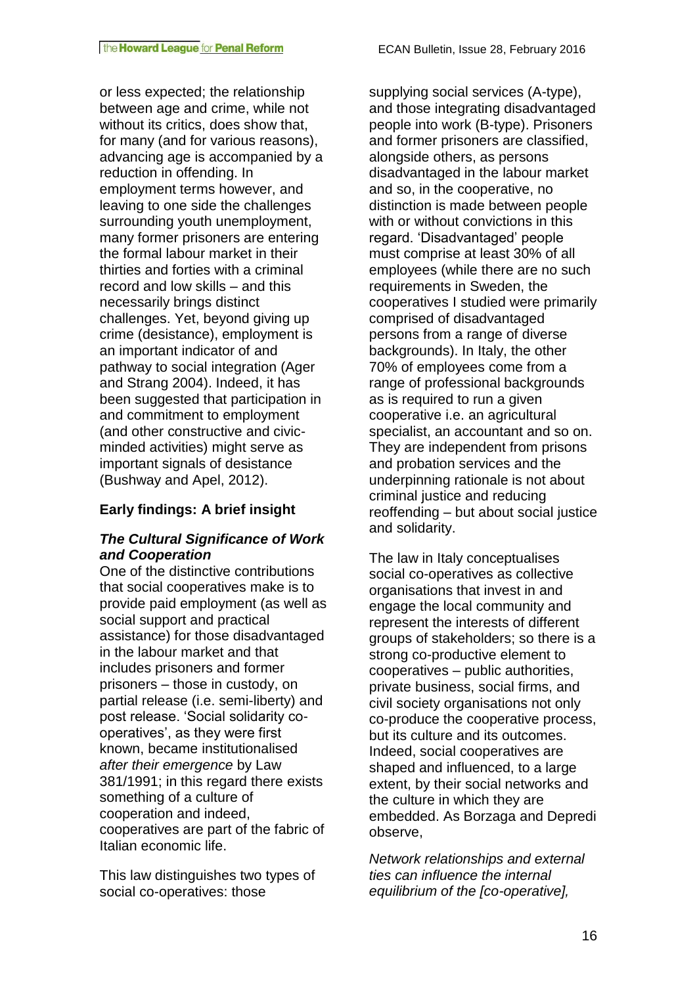or less expected; the relationship between age and crime, while not without its critics, does show that, for many (and for various reasons), advancing age is accompanied by a reduction in offending. In employment terms however, and leaving to one side the challenges surrounding youth unemployment, many former prisoners are entering the formal labour market in their thirties and forties with a criminal record and low skills – and this necessarily brings distinct challenges. Yet, beyond giving up crime (desistance), employment is an important indicator of and pathway to social integration (Ager and Strang 2004). Indeed, it has been suggested that participation in and commitment to employment (and other constructive and civicminded activities) might serve as important signals of desistance (Bushway and Apel, 2012).

# **Early findings: A brief insight**

# *The Cultural Significance of Work and Cooperation*

One of the distinctive contributions that social cooperatives make is to provide paid employment (as well as social support and practical assistance) for those disadvantaged in the labour market and that includes prisoners and former prisoners – those in custody, on partial release (i.e. semi-liberty) and post release. 'Social solidarity cooperatives', as they were first known, became institutionalised *after their emergence* by Law 381/1991; in this regard there exists something of a culture of cooperation and indeed, cooperatives are part of the fabric of Italian economic life.

This law distinguishes two types of social co-operatives: those

supplying social services (A-type), and those integrating disadvantaged people into work (B-type). Prisoners and former prisoners are classified, alongside others, as persons disadvantaged in the labour market and so, in the cooperative, no distinction is made between people with or without convictions in this regard. 'Disadvantaged' people must comprise at least 30% of all employees (while there are no such requirements in Sweden, the cooperatives I studied were primarily comprised of disadvantaged persons from a range of diverse backgrounds). In Italy, the other 70% of employees come from a range of professional backgrounds as is required to run a given cooperative i.e. an agricultural specialist, an accountant and so on. They are independent from prisons and probation services and the underpinning rationale is not about criminal justice and reducing reoffending – but about social justice and solidarity.

The law in Italy conceptualises social co-operatives as collective organisations that invest in and engage the local community and represent the interests of different groups of stakeholders; so there is a strong co-productive element to cooperatives – public authorities, private business, social firms, and civil society organisations not only co-produce the cooperative process, but its culture and its outcomes. Indeed, social cooperatives are shaped and influenced, to a large extent, by their social networks and the culture in which they are embedded. As Borzaga and Depredi observe,

*Network relationships and external ties can influence the internal equilibrium of the [co-operative],*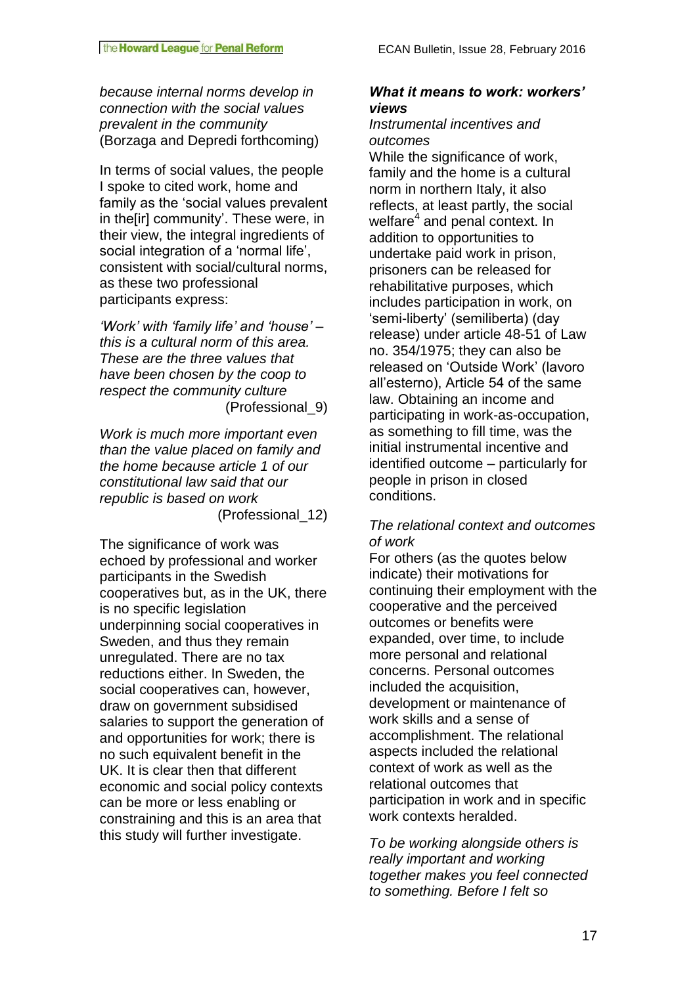*because internal norms develop in connection with the social values prevalent in the community* (Borzaga and Depredi forthcoming)

In terms of social values, the people I spoke to cited work, home and family as the 'social values prevalent in the[ir] community'. These were, in their view, the integral ingredients of social integration of a 'normal life', consistent with social/cultural norms, as these two professional participants express:

*'Work' with 'family life' and 'house' – this is a cultural norm of this area. These are the three values that have been chosen by the coop to respect the community culture* (Professional\_9)

*Work is much more important even than the value placed on family and the home because article 1 of our constitutional law said that our republic is based on work* (Professional\_12)

The significance of work was echoed by professional and worker participants in the Swedish cooperatives but, as in the UK, there is no specific legislation underpinning social cooperatives in Sweden, and thus they remain unregulated. There are no tax reductions either. In Sweden, the social cooperatives can, however, draw on government subsidised salaries to support the generation of and opportunities for work; there is no such equivalent benefit in the UK. It is clear then that different economic and social policy contexts can be more or less enabling or constraining and this is an area that this study will further investigate.

### *What it means to work: workers' views*

#### *Instrumental incentives and outcomes*

While the significance of work. family and the home is a cultural norm in northern Italy, it also reflects, at least partly, the social welfare<sup>4</sup> and penal context. In addition to opportunities to undertake paid work in prison, prisoners can be released for rehabilitative purposes, which includes participation in work, on 'semi-liberty' (semiliberta) (day release) under article 48-51 of Law no. 354/1975; they can also be released on 'Outside Work' (lavoro all'esterno), Article 54 of the same law. Obtaining an income and participating in work-as-occupation, as something to fill time, was the initial instrumental incentive and identified outcome – particularly for people in prison in closed conditions.

# *The relational context and outcomes of work*

For others (as the quotes below indicate) their motivations for continuing their employment with the cooperative and the perceived outcomes or benefits were expanded, over time, to include more personal and relational concerns. Personal outcomes included the acquisition, development or maintenance of work skills and a sense of accomplishment. The relational aspects included the relational context of work as well as the relational outcomes that participation in work and in specific work contexts heralded.

*To be working alongside others is really important and working together makes you feel connected to something. Before I felt so*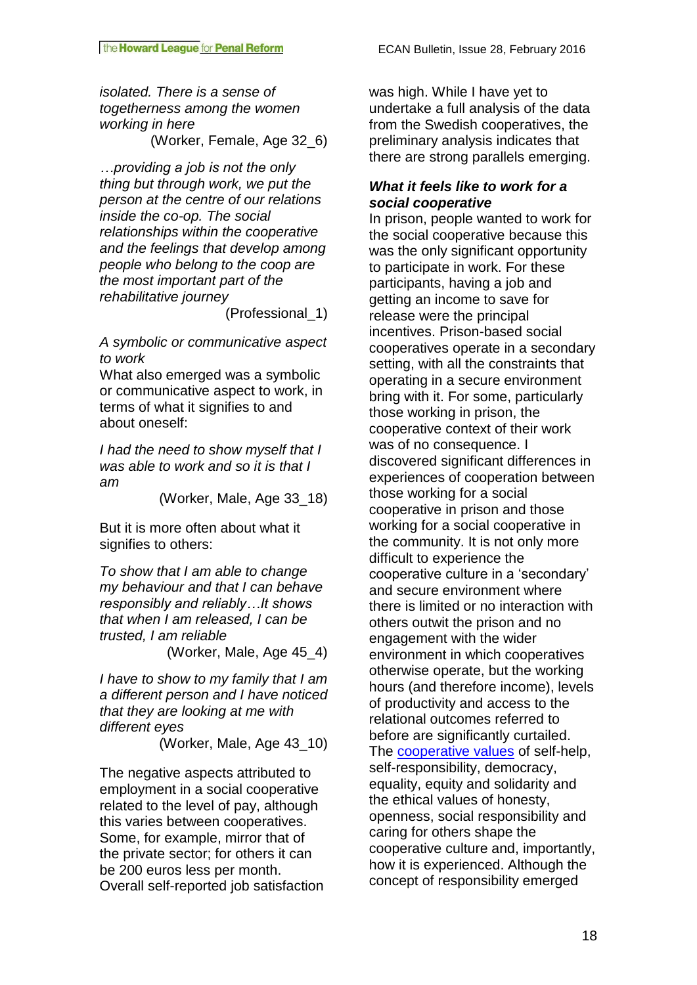*isolated. There is a sense of togetherness among the women working in here* (Worker, Female, Age 32\_6)

*…providing a job is not the only thing but through work, we put the person at the centre of our relations inside the co-op. The social relationships within the cooperative and the feelings that develop among people who belong to the coop are the most important part of the rehabilitative journey*

(Professional\_1)

*A symbolic or communicative aspect to work*

What also emerged was a symbolic or communicative aspect to work, in terms of what it signifies to and about oneself:

*I had the need to show myself that I was able to work and so it is that I am*

(Worker, Male, Age 33\_18)

But it is more often about what it signifies to others:

*To show that I am able to change my behaviour and that I can behave responsibly and reliably…It shows that when I am released, I can be trusted, I am reliable*

(Worker, Male, Age 45\_4)

*I have to show to my family that I am a different person and I have noticed that they are looking at me with different eyes*

(Worker, Male, Age 43\_10)

The negative aspects attributed to employment in a social cooperative related to the level of pay, although this varies between cooperatives. Some, for example, mirror that of the private sector; for others it can be 200 euros less per month. Overall self-reported job satisfaction was high. While I have yet to undertake a full analysis of the data from the Swedish cooperatives, the preliminary analysis indicates that there are strong parallels emerging.

# *What it feels like to work for a social cooperative*

In prison, people wanted to work for the social cooperative because this was the only significant opportunity to participate in work. For these participants, having a job and getting an income to save for release were the principal incentives. Prison-based social cooperatives operate in a secondary setting, with all the constraints that operating in a secure environment bring with it. For some, particularly those working in prison, the cooperative context of their work was of no consequence. I discovered significant differences in experiences of cooperation between those working for a social cooperative in prison and those working for a social cooperative in the community. It is not only more difficult to experience the cooperative culture in a 'secondary' and secure environment where there is limited or no interaction with others outwit the prison and no engagement with the wider environment in which cooperatives otherwise operate, but the working hours (and therefore income), levels of productivity and access to the relational outcomes referred to before are significantly curtailed. The [cooperative values](http://ica.coop/en/whats-co-op/co-operative-identity-values-principles) of self-help, self-responsibility, democracy, equality, equity and solidarity and the ethical values of honesty, openness, social responsibility and caring for others shape the cooperative culture and, importantly, how it is experienced. Although the concept of responsibility emerged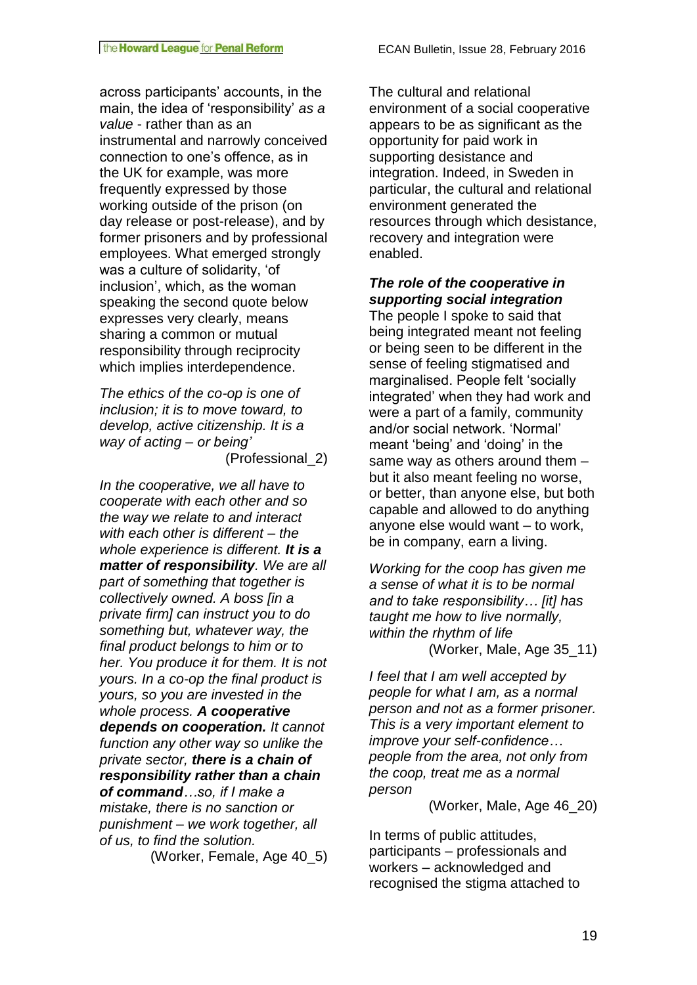across participants' accounts, in the main, the idea of 'responsibility' *as a value* - rather than as an instrumental and narrowly conceived connection to one's offence, as in the UK for example, was more frequently expressed by those working outside of the prison (on day release or post-release), and by former prisoners and by professional employees. What emerged strongly was a culture of solidarity, 'of inclusion', which, as the woman speaking the second quote below expresses very clearly, means sharing a common or mutual responsibility through reciprocity which implies interdependence.

*The ethics of the co-op is one of inclusion; it is to move toward, to develop, active citizenship. It is a way of acting – or being'*

(Professional\_2)

*In the cooperative, we all have to cooperate with each other and so the way we relate to and interact with each other is different – the whole experience is different. It is a matter of responsibility. We are all part of something that together is collectively owned. A boss [in a private firm] can instruct you to do something but, whatever way, the final product belongs to him or to her. You produce it for them. It is not yours. In a co-op the final product is yours, so you are invested in the whole process. A cooperative depends on cooperation. It cannot function any other way so unlike the private sector, there is a chain of responsibility rather than a chain of command…so, if I make a mistake, there is no sanction or punishment – we work together, all of us, to find the solution.*

(Worker, Female, Age 40\_5)

The cultural and relational environment of a social cooperative appears to be as significant as the opportunity for paid work in supporting desistance and integration. Indeed, in Sweden in particular, the cultural and relational environment generated the resources through which desistance, recovery and integration were enabled.

*The role of the cooperative in supporting social integration*

The people I spoke to said that being integrated meant not feeling or being seen to be different in the sense of feeling stigmatised and marginalised. People felt 'socially integrated' when they had work and were a part of a family, community and/or social network. 'Normal' meant 'being' and 'doing' in the same way as others around them – but it also meant feeling no worse, or better, than anyone else, but both capable and allowed to do anything anyone else would want – to work, be in company, earn a living.

*Working for the coop has given me a sense of what it is to be normal and to take responsibility… [it] has taught me how to live normally, within the rhythm of life*  (Worker, Male, Age 35\_11)

*I feel that I am well accepted by people for what I am, as a normal person and not as a former prisoner. This is a very important element to improve your self-confidence… people from the area, not only from the coop, treat me as a normal person*

(Worker, Male, Age 46\_20)

In terms of public attitudes, participants – professionals and workers – acknowledged and recognised the stigma attached to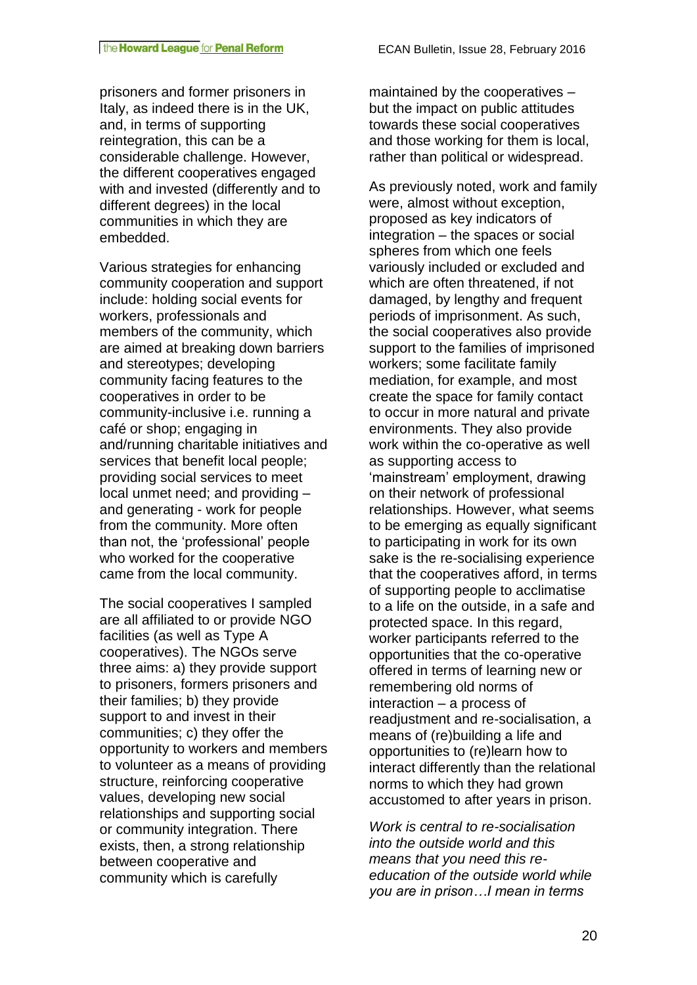prisoners and former prisoners in Italy, as indeed there is in the UK, and, in terms of supporting reintegration, this can be a considerable challenge. However, the different cooperatives engaged with and invested (differently and to different degrees) in the local communities in which they are embedded.

Various strategies for enhancing community cooperation and support include: holding social events for workers, professionals and members of the community, which are aimed at breaking down barriers and stereotypes; developing community facing features to the cooperatives in order to be community-inclusive i.e. running a café or shop; engaging in and/running charitable initiatives and services that benefit local people; providing social services to meet local unmet need; and providing – and generating - work for people from the community. More often than not, the 'professional' people who worked for the cooperative came from the local community.

The social cooperatives I sampled are all affiliated to or provide NGO facilities (as well as Type A cooperatives). The NGOs serve three aims: a) they provide support to prisoners, formers prisoners and their families; b) they provide support to and invest in their communities; c) they offer the opportunity to workers and members to volunteer as a means of providing structure, reinforcing cooperative values, developing new social relationships and supporting social or community integration. There exists, then, a strong relationship between cooperative and community which is carefully

maintained by the cooperatives – but the impact on public attitudes towards these social cooperatives and those working for them is local, rather than political or widespread.

As previously noted, work and family were, almost without exception, proposed as key indicators of integration – the spaces or social spheres from which one feels variously included or excluded and which are often threatened, if not damaged, by lengthy and frequent periods of imprisonment. As such, the social cooperatives also provide support to the families of imprisoned workers; some facilitate family mediation, for example, and most create the space for family contact to occur in more natural and private environments. They also provide work within the co-operative as well as supporting access to 'mainstream' employment, drawing on their network of professional relationships. However, what seems to be emerging as equally significant to participating in work for its own sake is the re-socialising experience that the cooperatives afford, in terms of supporting people to acclimatise to a life on the outside, in a safe and protected space. In this regard, worker participants referred to the opportunities that the co-operative offered in terms of learning new or remembering old norms of interaction – a process of readjustment and re-socialisation, a means of (re)building a life and opportunities to (re)learn how to interact differently than the relational norms to which they had grown accustomed to after years in prison.

*Work is central to re-socialisation into the outside world and this means that you need this reeducation of the outside world while you are in prison…I mean in terms*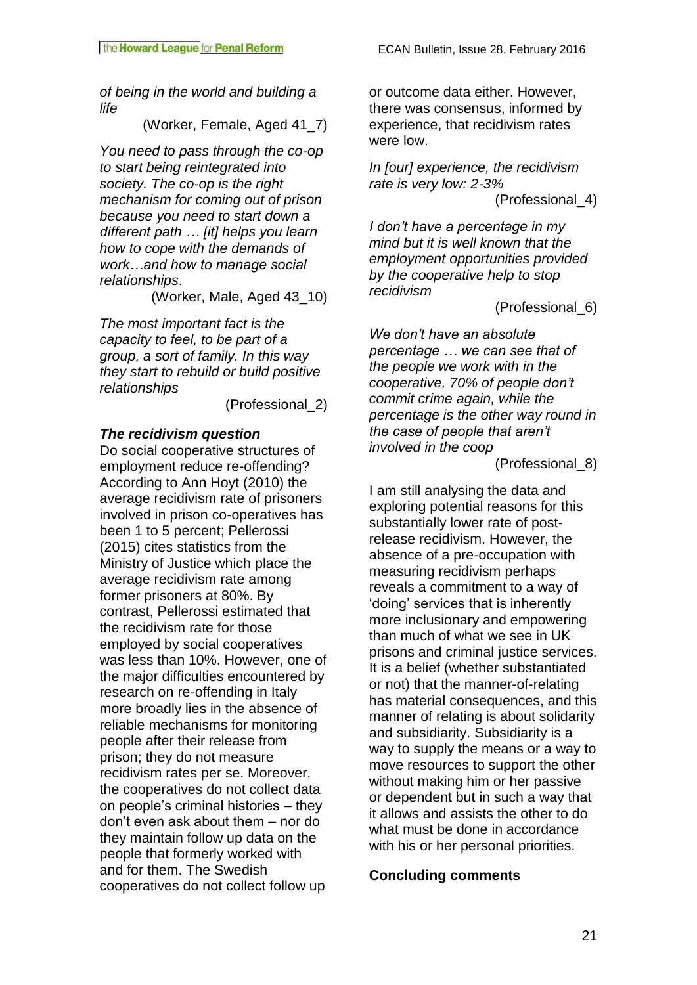*of being in the world and building a life* 

(Worker, Female, Aged 41\_7)

*You need to pass through the co-op to start being reintegrated into society. The co-op is the right mechanism for coming out of prison because you need to start down a different path … [it] helps you learn how to cope with the demands of work…and how to manage social relationships*.

(Worker, Male, Aged 43\_10)

*The most important fact is the capacity to feel, to be part of a group, a sort of family. In this way they start to rebuild or build positive relationships*

(Professional\_2)

# *The recidivism question*

Do social cooperative structures of employment reduce re-offending? According to Ann Hoyt (2010) the average recidivism rate of prisoners involved in prison co-operatives has been 1 to 5 percent; Pellerossi (2015) cites statistics from the Ministry of Justice which place the average recidivism rate among former prisoners at 80%. By contrast, Pellerossi estimated that the recidivism rate for those employed by social cooperatives was less than 10%. However, one of the major difficulties encountered by research on re-offending in Italy more broadly lies in the absence of reliable mechanisms for monitoring people after their release from prison; they do not measure recidivism rates per se. Moreover, the cooperatives do not collect data on people's criminal histories – they don't even ask about them – nor do they maintain follow up data on the people that formerly worked with and for them. The Swedish cooperatives do not collect follow up

or outcome data either. However, there was consensus, informed by experience, that recidivism rates were low.

*In [our] experience, the recidivism rate is very low: 2-3%* (Professional\_4)

*I don't have a percentage in my mind but it is well known that the employment opportunities provided by the cooperative help to stop recidivism*

(Professional\_6)

*We don't have an absolute percentage … we can see that of the people we work with in the cooperative, 70% of people don't commit crime again, while the percentage is the other way round in the case of people that aren't involved in the coop*

(Professional\_8)

I am still analysing the data and exploring potential reasons for this substantially lower rate of postrelease recidivism. However, the absence of a pre-occupation with measuring recidivism perhaps reveals a commitment to a way of 'doing' services that is inherently more inclusionary and empowering than much of what we see in UK prisons and criminal justice services. It is a belief (whether substantiated or not) that the manner-of-relating has material consequences, and this manner of relating is about solidarity and subsidiarity. Subsidiarity is a way to supply the means or a way to move resources to support the other without making him or her passive or dependent but in such a way that it allows and assists the other to do what must be done in accordance with his or her personal priorities.

# **Concluding comments**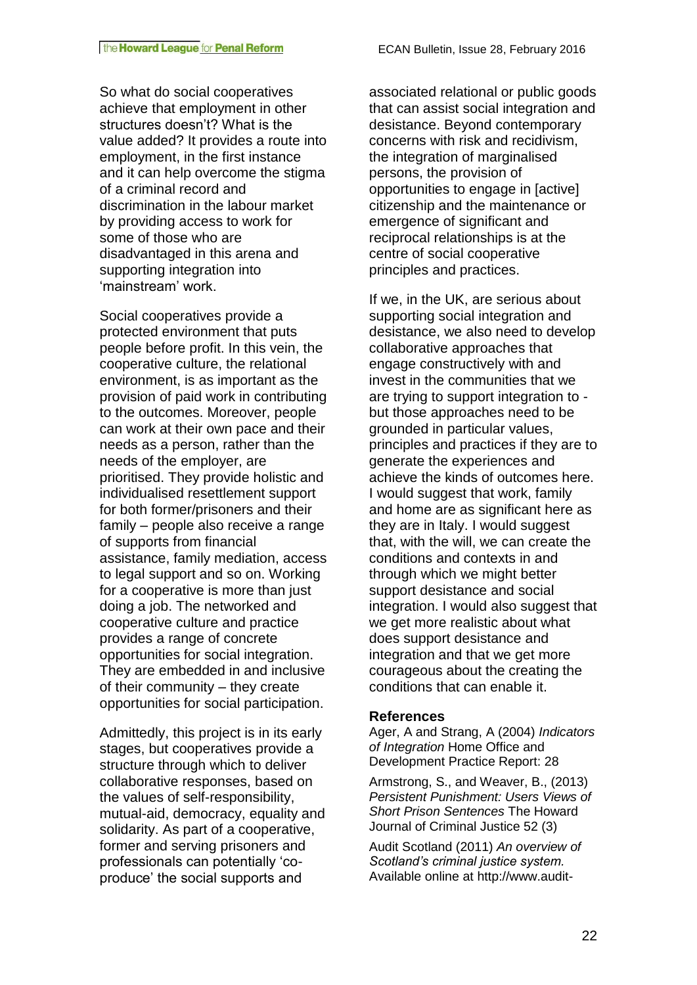So what do social cooperatives achieve that employment in other structures doesn't? What is the value added? It provides a route into employment, in the first instance and it can help overcome the stigma of a criminal record and discrimination in the labour market by providing access to work for some of those who are disadvantaged in this arena and supporting integration into 'mainstream' work.

Social cooperatives provide a protected environment that puts people before profit. In this vein, the cooperative culture, the relational environment, is as important as the provision of paid work in contributing to the outcomes. Moreover, people can work at their own pace and their needs as a person, rather than the needs of the employer, are prioritised. They provide holistic and individualised resettlement support for both former/prisoners and their family – people also receive a range of supports from financial assistance, family mediation, access to legal support and so on. Working for a cooperative is more than just doing a job. The networked and cooperative culture and practice provides a range of concrete opportunities for social integration. They are embedded in and inclusive of their community – they create opportunities for social participation.

Admittedly, this project is in its early stages, but cooperatives provide a structure through which to deliver collaborative responses, based on the values of self-responsibility, mutual-aid, democracy, equality and solidarity. As part of a cooperative, former and serving prisoners and professionals can potentially 'coproduce' the social supports and

associated relational or public goods that can assist social integration and desistance. Beyond contemporary concerns with risk and recidivism, the integration of marginalised persons, the provision of opportunities to engage in [active] citizenship and the maintenance or emergence of significant and reciprocal relationships is at the centre of social cooperative principles and practices.

If we, in the UK, are serious about supporting social integration and desistance, we also need to develop collaborative approaches that engage constructively with and invest in the communities that we are trying to support integration to but those approaches need to be grounded in particular values, principles and practices if they are to generate the experiences and achieve the kinds of outcomes here. I would suggest that work, family and home are as significant here as they are in Italy. I would suggest that, with the will, we can create the conditions and contexts in and through which we might better support desistance and social integration. I would also suggest that we get more realistic about what does support desistance and integration and that we get more courageous about the creating the conditions that can enable it.

#### **References**

Ager, A and Strang, A (2004) *Indicators of Integration* Home Office and Development Practice Report: 28

Armstrong, S., and Weaver, B., (2013) *Persistent Punishment: Users Views of Short Prison Sentences* The Howard Journal of Criminal Justice 52 (3)

Audit Scotland (2011) *An overview of Scotland's criminal justice system.*  Available online at http://www.audit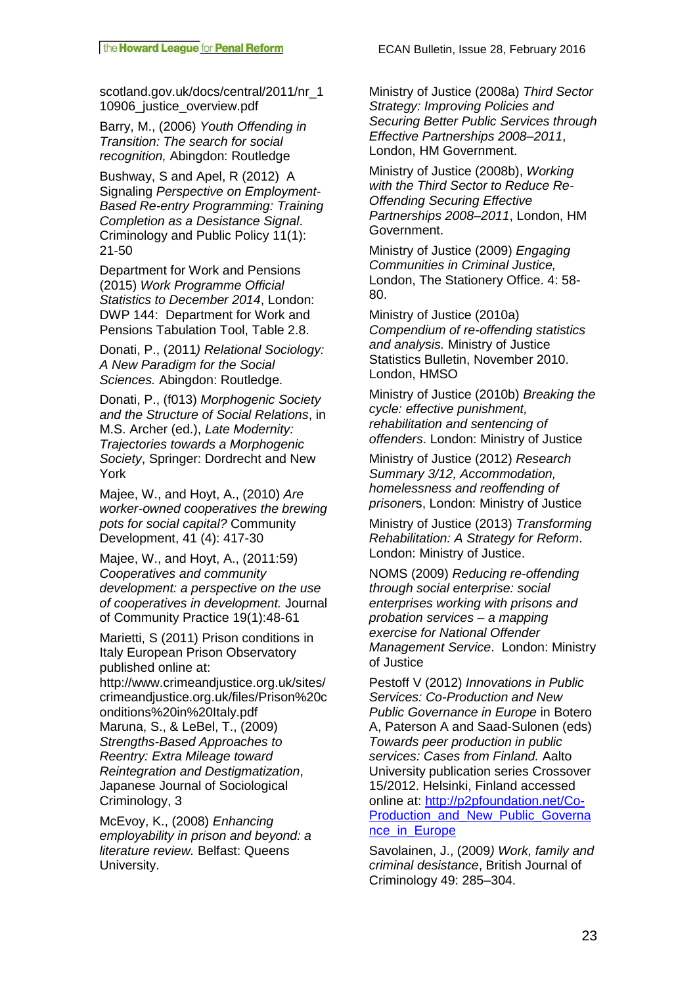scotland.gov.uk/docs/central/2011/nr\_1 10906\_justice\_overview.pdf

Barry, M., (2006) *Youth Offending in Transition: The search for social recognition,* Abingdon: Routledge

Bushway, S and Apel, R (2012) A Signaling *Perspective on Employment-Based Re-entry Programming: Training Completion as a Desistance Signal*. Criminology and Public Policy 11(1): 21-50

Department for Work and Pensions (2015) *Work Programme Official Statistics to December 2014*, London: DWP 144: Department for Work and Pensions Tabulation Tool, Table 2.8.

Donati, P., (2011*) Relational Sociology: A New Paradigm for the Social Sciences.* Abingdon: Routledge.

Donati, P., (f013) *Morphogenic Society and the Structure of Social Relations*, in M.S. Archer (ed.), *Late Modernity: Trajectories towards a Morphogenic Society*, Springer: Dordrecht and New York

Majee, W., and Hoyt, A., (2010) *Are worker-owned cooperatives the brewing pots for social capital?* Community Development, 41 (4): 417-30

Majee, W., and Hoyt, A., (2011:59) *Cooperatives and community development: a perspective on the use of cooperatives in development.* Journal of Community Practice 19(1):48-61

Marietti, S (2011) Prison conditions in Italy European Prison Observatory published online at:

http://www.crimeandjustice.org.uk/sites/ crimeandjustice.org.uk/files/Prison%20c onditions%20in%20Italy.pdf Maruna, S., & LeBel, T., (2009) *Strengths-Based Approaches to Reentry: Extra Mileage toward Reintegration and Destigmatization*, Japanese Journal of Sociological Criminology, 3

McEvoy, K., (2008) *Enhancing employability in prison and beyond: a literature review.* Belfast: Queens University.

Ministry of Justice (2008a) *Third Sector Strategy: Improving Policies and Securing Better Public Services through Effective Partnerships 2008–2011*, London, HM Government.

Ministry of Justice (2008b), *Working with the Third Sector to Reduce Re-Offending Securing Effective Partnerships 2008–2011*, London, HM Government.

Ministry of Justice (2009) *Engaging Communities in Criminal Justice,* London, The Stationery Office. 4: 58- 80.

Ministry of Justice (2010a) *Compendium of re-offending statistics and analysis.* Ministry of Justice Statistics Bulletin, November 2010. London, HMSO

Ministry of Justice (2010b) *Breaking the cycle: effective punishment, rehabilitation and sentencing of offenders*. London: Ministry of Justice

Ministry of Justice (2012) *Research Summary 3/12, Accommodation, homelessness and reoffending of prisoner*s, London: Ministry of Justice

Ministry of Justice (2013) *Transforming Rehabilitation: A Strategy for Reform*. London: Ministry of Justice.

NOMS (2009) *Reducing re-offending through social enterprise: social enterprises working with prisons and probation services – a mapping exercise for National Offender Management Service*. London: Ministry of Justice

Pestoff V (2012) *Innovations in Public Services: Co-Production and New Public Governance in Europe* in Botero A, Paterson A and Saad-Sulonen (eds) *Towards peer production in public services: Cases from Finland.* Aalto University publication series Crossover 15/2012. Helsinki, Finland accessed online at: [http://p2pfoundation.net/Co-](http://p2pfoundation.net/Co-Production_and_New_Public_Governance_in_Europe)[Production\\_and\\_New\\_Public\\_Governa](http://p2pfoundation.net/Co-Production_and_New_Public_Governance_in_Europe) [nce\\_in\\_Europe](http://p2pfoundation.net/Co-Production_and_New_Public_Governance_in_Europe)

Savolainen, J., (2009*) Work, family and criminal desistance*, British Journal of Criminology 49: 285–304.